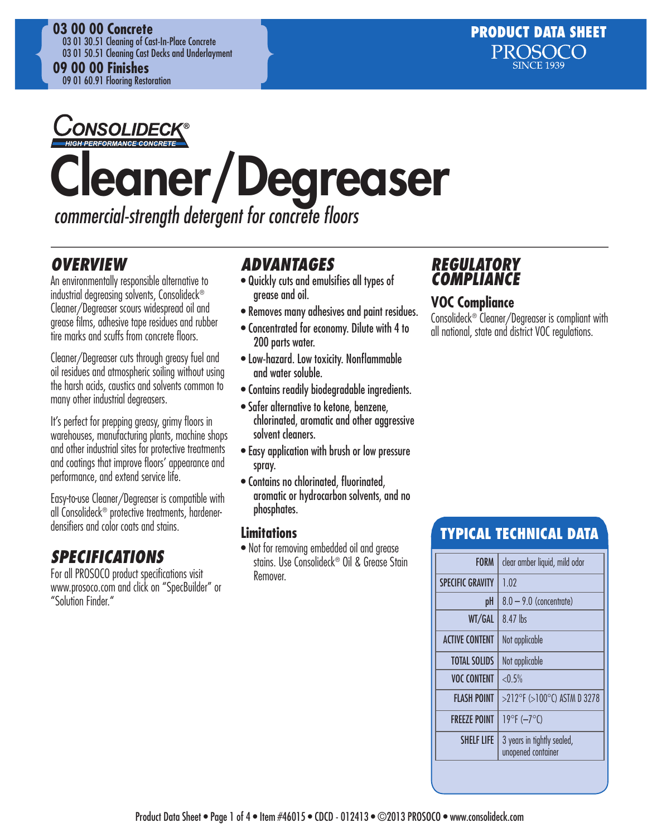

## JONSOLIDECK Cleaner/Degreaser

*commercial-strength detergent for concrete floors*

## *OVERVIEW*

An environmentally responsible alternative to industrial degreasing solvents, Consolideck® Cleaner/Degreaser scours widespread oil and grease films, adhesive tape residues and rubber tire marks and scuffs from concrete floors.

Cleaner/Degreaser cuts through greasy fuel and oil residues and atmospheric soiling without using the harsh acids, caustics and solvents common to many other industrial degreasers.

It's perfect for prepping greasy, grimy floors in warehouses, manufacturing plants, machine shops and other industrial sites for protective treatments and coatings that improve floors' appearance and performance, and extend service life.

Easy-to-use Cleaner/Degreaser is compatible with all Consolideck® protective treatments, hardenerdensifiers and color coats and stains.

## *SPECIFICATIONS*

For all PROSOCO product specifications visit www.prosoco.com and click on "SpecBuilder" or "Solution Finder."

## *ADVANTAGES*

- Quickly cuts and emulsifies all types of grease and oil.
- Removes many adhesives and paint residues.
- Concentrated for economy. Dilute with 4 to 200 parts water.
- Low-hazard. Low toxicity. Nonflammable and water soluble.
- Contains readily biodegradable ingredients.
- Safer alternative to ketone, benzene, chlorinated, aromatic and other aggressive solvent cleaners.
- Easy application with brush or low pressure spray.
- Contains no chlorinated, fluorinated, aromatic or hydrocarbon solvents, and no phosphates.

#### **Limitations**

• Not for removing embedded oil and grease stains. Use Consolideck® Oil & Grease Stain Remover.

## *REGULATORY*  **COMPLIAI**

## **VOC Compliance**

Consolideck® Cleaner/Degreaser is compliant with all national, state and district VOC regulations.

## TYPICAL TECHNICAL DATA

| <b>FORM</b>             | clear amber liquid, mild odor                    |
|-------------------------|--------------------------------------------------|
| <b>SPECIFIC GRAVITY</b> | 1.02                                             |
| рH                      | $8.0 - 9.0$ (concentrate)                        |
| WT/GAL                  | 8.47 lbs                                         |
| <b>ACTIVE CONTENT</b>   | Not applicable                                   |
| <b>TOTAL SOLIDS</b>     | Not applicable                                   |
| <b>VOC CONTENT</b>      | $< 0.5\%$                                        |
| <b>FLASH POINT</b>      | $>$ 212°F ( $>$ 100°C) ASTM D 3278               |
| <b>FREEZE POINT</b>     | $19^{\circ}F(-7^{\circ}C)$                       |
| <b>SHELF LIFE</b>       | 3 years in tightly sealed,<br>unopened container |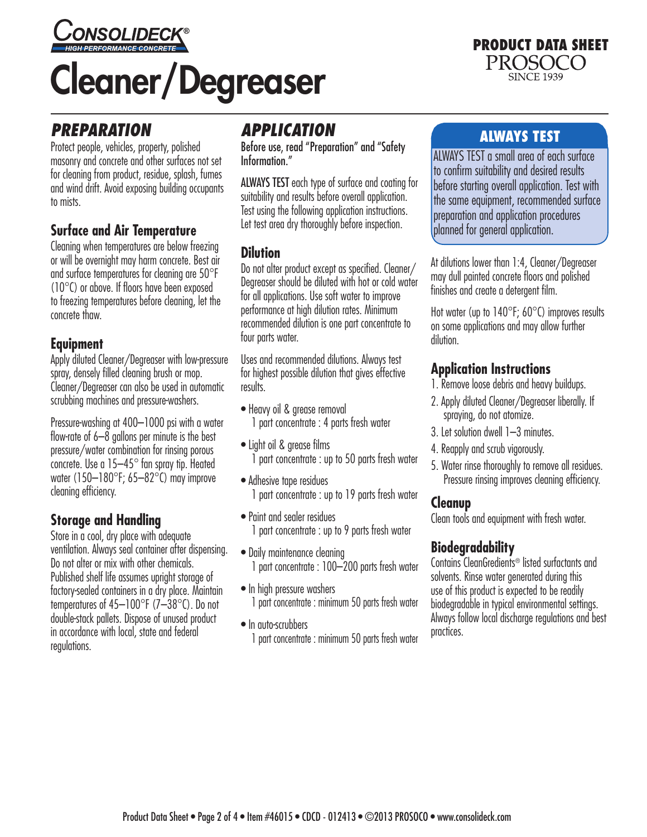

# Cleaner/Degreaser

#### PRODUCT DATA SHEET PROSOCO **SINCE 1939**

## *PREPARATION*

Protect people, vehicles, property, polished masonry and concrete and other surfaces not set for cleaning from product, residue, splash, fumes and wind drift. Avoid exposing building occupants to mists.

#### **Surface and Air Temperature**

Cleaning when temperatures are below freezing or will be overnight may harm concrete. Best air and surface temperatures for cleaning are 50°F (10°C) or above. If floors have been exposed to freezing temperatures before cleaning, let the concrete thaw.

#### **Equipment**

Apply diluted Cleaner/Degreaser with low-pressure spray, densely filled cleaning brush or mop. Cleaner/Degreaser can also be used in automatic scrubbing machines and pressure-washers.

Pressure-washing at 400–1000 psi with a water flow-rate of 6–8 gallons per minute is the best pressure/water combination for rinsing porous concrete. Use a 15–45° fan spray tip. Heated water (150–180°F; 65–82°C) may improve cleaning efficiency.

## **Storage and Handling**

Store in a cool, dry place with adequate ventilation. Always seal container after dispensing. Do not alter or mix with other chemicals. Published shelf life assumes upright storage of factory-sealed containers in a dry place. Maintain temperatures of 45–100°F (7–38°C). Do not double-stack pallets. Dispose of unused product in accordance with local, state and federal regulations.

## *APPLICATION*

Before use, read "Preparation" and "Safety Information."

ALWAYS TEST each type of surface and coating for suitability and results before overall application. Test using the following application instructions. Let test area dry thoroughly before inspection.

#### **Dilution**

Do not alter product except as specified. Cleaner/ Degreaser should be diluted with hot or cold water for all applications. Use soft water to improve performance at high dilution rates. Minimum recommended dilution is one part concentrate to four parts water.

Uses and recommended dilutions. Always test for highest possible dilution that gives effective results.

- Heavy oil & grease removal 1 part concentrate : 4 parts fresh water
- Light oil & grease films 1 part concentrate : up to 50 parts fresh water
- Adhesive tape residues 1 part concentrate : up to 19 parts fresh water
- Paint and sealer residues 1 part concentrate : up to 9 parts fresh water
- Daily maintenance cleaning 1 part concentrate : 100–200 parts fresh water
- In high pressure washers 1 part concentrate : minimum 50 parts fresh water
- In auto-scrubbers 1 part concentrate : minimum 50 parts fresh water

## ALWAYS TEST

ALWAYS TEST a small area of each surface to confirm suitability and desired results before starting overall application. Test with the same equipment, recommended surface preparation and application procedures planned for general application.

At dilutions lower than 1:4, Cleaner/Degreaser may dull painted concrete floors and polished finishes and create a detergent film.

Hot water (up to 140°F; 60°C) improves results on some applications and may allow further dilution.

#### **Application Instructions**

- 1. Remove loose debris and heavy buildups.
- 2. Apply diluted Cleaner/Degreaser liberally. If spraying, do not atomize.
- 3. Let solution dwell 1–3 minutes.
- 4. Reapply and scrub vigorously.
- 5. Water rinse thoroughly to remove all residues. Pressure rinsing improves cleaning efficiency.

## **Cleanup**

Clean tools and equipment with fresh water.

## **Biodegradability**

Contains CleanGredients® listed surfactants and solvents. Rinse water generated during this use of this product is expected to be readily biodegradable in typical environmental settings. Always follow local discharge regulations and best practices.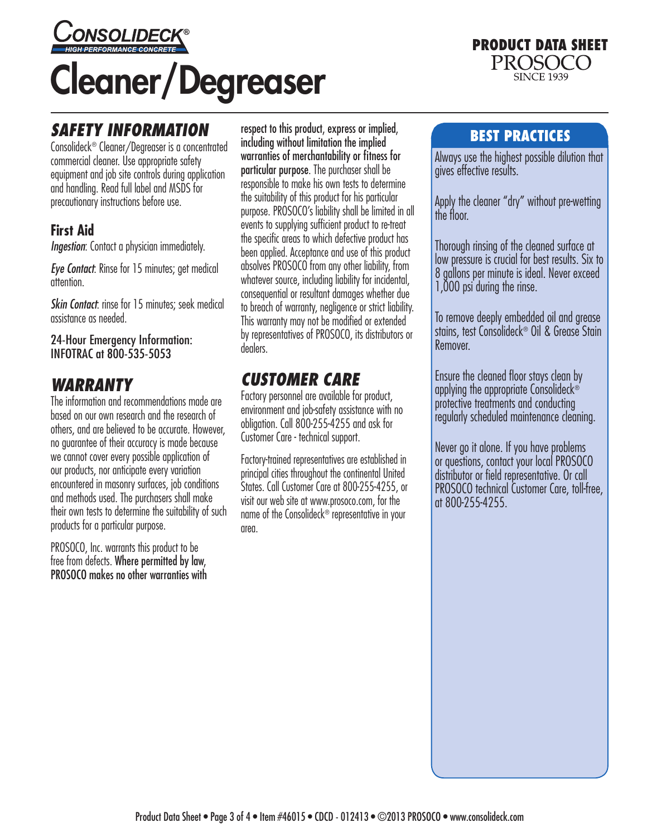

## *SAFETY INFORMATION*

Consolideck® Cleaner/Degreaser is a concentrated commercial cleaner. Use appropriate safety equipment and job site controls during application and handling. Read full label and MSDS for precautionary instructions before use.

#### **First Aid**

*Ingestion*: Contact a physician immediately.

*Eye Contact*: Rinse for 15 minutes; get medical attention.

*Skin Contact*: rinse for 15 minutes; seek medical assistance as needed.

24-Hour Emergency Information: INFOTRAC at 800-535-5053

## *WARRANTY*

The information and recommendations made are based on our own research and the research of others, and are believed to be accurate. However, no guarantee of their accuracy is made because we cannot cover every possible application of our products, nor anticipate every variation encountered in masonry surfaces, job conditions and methods used. The purchasers shall make their own tests to determine the suitability of such products for a particular purpose.

PROSOCO, Inc. warrants this product to be free from defects. Where permitted by law, PROSOCO makes no other warranties with

respect to this product, express or implied, including without limitation the implied warranties of merchantability or fitness for particular purpose. The purchaser shall be responsible to make his own tests to determine the suitability of this product for his particular purpose. PROSOCO's liability shall be limited in all events to supplying sufficient product to re-treat the specific areas to which defective product has been applied. Acceptance and use of this product absolves PROSOCO from any other liability, from whatever source, including liability for incidental, consequential or resultant damages whether due to breach of warranty, negligence or strict liability. This warranty may not be modified or extended by representatives of PROSOCO, its distributors or dealers.

## *CUSTOMER CARE*

Factory personnel are available for product, environment and job-safety assistance with no obligation. Call 800-255-4255 and ask for Customer Care - technical support.

Factory-trained representatives are established in principal cities throughout the continental United States. Call Customer Care at 800-255-4255, or visit our web site at www.prosoco.com, for the name of the Consolideck<sup>®</sup> representative in your area.

#### BEST PRACTICES

PRODUCT DATA SHEET

PROSOCO **SINCE 1939** 

Always use the highest possible dilution that gives effective results.

Apply the cleaner "dry" without pre-wetting the floor.

Thorough rinsing of the cleaned surface at low pressure is crucial for best results. Six to 8 gallons per minute is ideal. Never exceed 1,000 psi during the rinse.

To remove deeply embedded oil and grease stains, test Consolideck® Oil & Grease Stain Remover.

Ensure the cleaned floor stays clean by applying the appropriate Consolideck® protective treatments and conducting regularly scheduled maintenance cleaning.

Never go it alone. If you have problems or questions, contact your local PROSOCO distributor or field representative. Or call PROSOCO technical Customer Care, toll-free, at 800-255-4255.